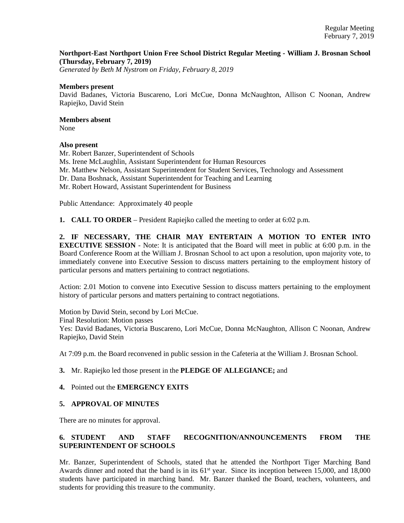### **Northport-East Northport Union Free School District Regular Meeting - William J. Brosnan School (Thursday, February 7, 2019)**

*Generated by Beth M Nystrom on Friday, February 8, 2019*

#### **Members present**

David Badanes, Victoria Buscareno, Lori McCue, Donna McNaughton, Allison C Noonan, Andrew Rapiejko, David Stein

# **Members absent**

None

### **Also present**

Mr. Robert Banzer, Superintendent of Schools Ms. Irene McLaughlin, Assistant Superintendent for Human Resources Mr. Matthew Nelson, Assistant Superintendent for Student Services, Technology and Assessment Dr. Dana Boshnack, Assistant Superintendent for Teaching and Learning Mr. Robert Howard, Assistant Superintendent for Business

Public Attendance: Approximately 40 people

**1. CALL TO ORDER** – President Rapiejko called the meeting to order at 6:02 p.m.

**2. IF NECESSARY, THE CHAIR MAY ENTERTAIN A MOTION TO ENTER INTO EXECUTIVE SESSION** - Note: It is anticipated that the Board will meet in public at 6:00 p.m. in the Board Conference Room at the William J. Brosnan School to act upon a resolution, upon majority vote, to immediately convene into Executive Session to discuss matters pertaining to the employment history of particular persons and matters pertaining to contract negotiations.

Action: 2.01 Motion to convene into Executive Session to discuss matters pertaining to the employment history of particular persons and matters pertaining to contract negotiations.

Motion by David Stein, second by Lori McCue. Final Resolution: Motion passes Yes: David Badanes, Victoria Buscareno, Lori McCue, Donna McNaughton, Allison C Noonan, Andrew Rapiejko, David Stein

At 7:09 p.m. the Board reconvened in public session in the Cafeteria at the William J. Brosnan School.

### **3.** Mr. Rapiejko led those present in the **PLEDGE OF ALLEGIANCE;** and

### **4.** Pointed out the **EMERGENCY EXITS**

### **5. APPROVAL OF MINUTES**

There are no minutes for approval.

## **6. STUDENT AND STAFF RECOGNITION/ANNOUNCEMENTS FROM THE SUPERINTENDENT OF SCHOOLS**

Mr. Banzer, Superintendent of Schools, stated that he attended the Northport Tiger Marching Band Awards dinner and noted that the band is in its  $61^{st}$  year. Since its inception between 15,000, and 18,000 students have participated in marching band. Mr. Banzer thanked the Board, teachers, volunteers, and students for providing this treasure to the community.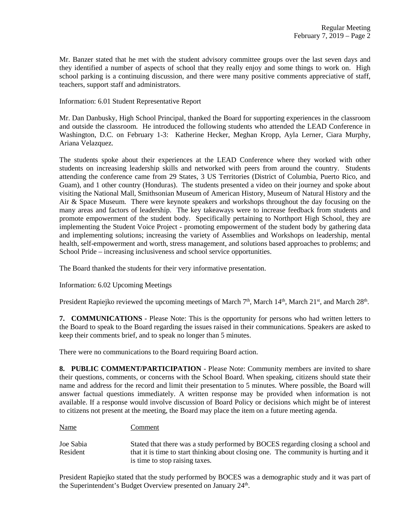Mr. Banzer stated that he met with the student advisory committee groups over the last seven days and they identified a number of aspects of school that they really enjoy and some things to work on. High school parking is a continuing discussion, and there were many positive comments appreciative of staff, teachers, support staff and administrators.

Information: 6.01 Student Representative Report

Mr. Dan Danbusky, High School Principal, thanked the Board for supporting experiences in the classroom and outside the classroom. He introduced the following students who attended the LEAD Conference in Washington, D.C. on February 1-3: Katherine Hecker, Meghan Kropp, Ayla Lerner, Ciara Murphy, Ariana Velazquez.

The students spoke about their experiences at the LEAD Conference where they worked with other students on increasing leadership skills and networked with peers from around the country. Students attending the conference came from 29 States, 3 US Territories (District of Columbia, Puerto Rico, and Guam), and 1 other country (Honduras). The students presented a video on their journey and spoke about visiting the National Mall, Smithsonian Museum of American History, Museum of Natural History and the Air & Space Museum. There were keynote speakers and workshops throughout the day focusing on the many areas and factors of leadership. The key takeaways were to increase feedback from students and promote empowerment of the student body. Specifically pertaining to Northport High School, they are implementing the Student Voice Project - promoting empowerment of the student body by gathering data and implementing solutions; increasing the variety of Assemblies and Workshops on leadership, mental health, self-empowerment and worth, stress management, and solutions based approaches to problems; and School Pride – increasing inclusiveness and school service opportunities.

The Board thanked the students for their very informative presentation.

Information: 6.02 Upcoming Meetings

President Rapiejko reviewed the upcoming meetings of March 7<sup>th</sup>, March 14<sup>th</sup>, March 21<sup>st</sup>, and March 28<sup>th</sup>.

**7. COMMUNICATIONS** - Please Note: This is the opportunity for persons who had written letters to the Board to speak to the Board regarding the issues raised in their communications. Speakers are asked to keep their comments brief, and to speak no longer than 5 minutes.

There were no communications to the Board requiring Board action.

**8. PUBLIC COMMENT/PARTICIPATION** - Please Note: Community members are invited to share their questions, comments, or concerns with the School Board. When speaking, citizens should state their name and address for the record and limit their presentation to 5 minutes. Where possible, the Board will answer factual questions immediately. A written response may be provided when information is not available. If a response would involve discussion of Board Policy or decisions which might be of interest to citizens not present at the meeting, the Board may place the item on a future meeting agenda.

#### Name Comment

Joe Sabia Stated that there was a study performed by BOCES regarding closing a school and Resident that it is time to start thinking about closing one. The community is hurting and it is time to stop raising taxes.

President Rapiejko stated that the study performed by BOCES was a demographic study and it was part of the Superintendent's Budget Overview presented on January 24<sup>th</sup>.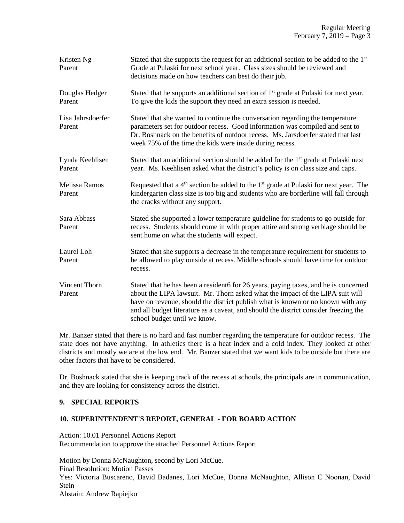| Kristen Ng<br>Parent           | Stated that she supports the request for an additional section to be added to the $1st$<br>Grade at Pulaski for next school year. Class sizes should be reviewed and<br>decisions made on how teachers can best do their job.                                                                                                                                                   |
|--------------------------------|---------------------------------------------------------------------------------------------------------------------------------------------------------------------------------------------------------------------------------------------------------------------------------------------------------------------------------------------------------------------------------|
| Douglas Hedger<br>Parent       | Stated that he supports an additional section of 1 <sup>st</sup> grade at Pulaski for next year.<br>To give the kids the support they need an extra session is needed.                                                                                                                                                                                                          |
| Lisa Jahrsdoerfer<br>Parent    | Stated that she wanted to continue the conversation regarding the temperature<br>parameters set for outdoor recess. Good information was compiled and sent to<br>Dr. Boshnack on the benefits of outdoor recess. Ms. Jarsdoerfer stated that last<br>week 75% of the time the kids were inside during recess.                                                                   |
| Lynda Keehlisen<br>Parent      | Stated that an additional section should be added for the 1 <sup>st</sup> grade at Pulaski next<br>year. Ms. Keehlisen asked what the district's policy is on class size and caps.                                                                                                                                                                                              |
| <b>Melissa Ramos</b><br>Parent | Requested that a 4 <sup>th</sup> section be added to the 1 <sup>st</sup> grade at Pulaski for next year. The<br>kindergarten class size is too big and students who are borderline will fall through<br>the cracks without any support.                                                                                                                                         |
| Sara Abbass<br>Parent          | Stated she supported a lower temperature guideline for students to go outside for<br>recess. Students should come in with proper attire and strong verbiage should be<br>sent home on what the students will expect.                                                                                                                                                            |
| Laurel Loh<br>Parent           | Stated that she supports a decrease in the temperature requirement for students to<br>be allowed to play outside at recess. Middle schools should have time for outdoor<br>recess.                                                                                                                                                                                              |
| Vincent Thorn<br>Parent        | Stated that he has been a resident6 for 26 years, paying taxes, and he is concerned<br>about the LIPA lawsuit. Mr. Thorn asked what the impact of the LIPA suit will<br>have on revenue, should the district publish what is known or no known with any<br>and all budget literature as a caveat, and should the district consider freezing the<br>school budget until we know. |

Mr. Banzer stated that there is no hard and fast number regarding the temperature for outdoor recess. The state does not have anything. In athletics there is a heat index and a cold index. They looked at other districts and mostly we are at the low end. Mr. Banzer stated that we want kids to be outside but there are other factors that have to be considered.

Dr. Boshnack stated that she is keeping track of the recess at schools, the principals are in communication, and they are looking for consistency across the district.

### **9. SPECIAL REPORTS**

### **10. SUPERINTENDENT'S REPORT, GENERAL - FOR BOARD ACTION**

Action: 10.01 Personnel Actions Report Recommendation to approve the attached Personnel Actions Report

Motion by Donna McNaughton, second by Lori McCue. Final Resolution: Motion Passes Yes: Victoria Buscareno, David Badanes, Lori McCue, Donna McNaughton, Allison C Noonan, David Stein Abstain: Andrew Rapiejko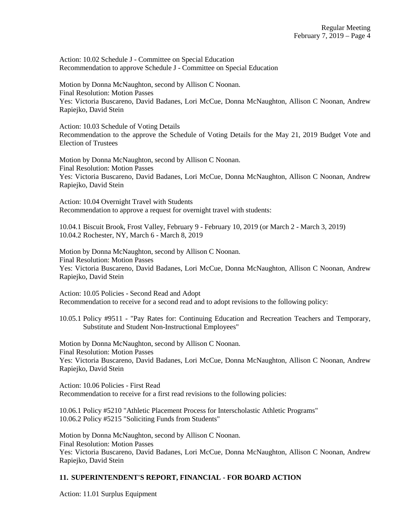Action: 10.02 Schedule J - Committee on Special Education Recommendation to approve Schedule J - Committee on Special Education

Motion by Donna McNaughton, second by Allison C Noonan. Final Resolution: Motion Passes Yes: Victoria Buscareno, David Badanes, Lori McCue, Donna McNaughton, Allison C Noonan, Andrew Rapiejko, David Stein

Action: 10.03 Schedule of Voting Details Recommendation to the approve the Schedule of Voting Details for the May 21, 2019 Budget Vote and Election of Trustees

Motion by Donna McNaughton, second by Allison C Noonan. Final Resolution: Motion Passes Yes: Victoria Buscareno, David Badanes, Lori McCue, Donna McNaughton, Allison C Noonan, Andrew Rapiejko, David Stein

Action: 10.04 Overnight Travel with Students Recommendation to approve a request for overnight travel with students:

10.04.1 Biscuit Brook, Frost Valley, February 9 - February 10, 2019 (or March 2 - March 3, 2019) 10.04.2 Rochester, NY, March 6 - March 8, 2019

Motion by Donna McNaughton, second by Allison C Noonan. Final Resolution: Motion Passes Yes: Victoria Buscareno, David Badanes, Lori McCue, Donna McNaughton, Allison C Noonan, Andrew Rapiejko, David Stein

Action: 10.05 Policies - Second Read and Adopt Recommendation to receive for a second read and to adopt revisions to the following policy:

10.05.1 Policy #9511 - "Pay Rates for: Continuing Education and Recreation Teachers and Temporary, Substitute and Student Non-Instructional Employees"

Motion by Donna McNaughton, second by Allison C Noonan. Final Resolution: Motion Passes Yes: Victoria Buscareno, David Badanes, Lori McCue, Donna McNaughton, Allison C Noonan, Andrew Rapiejko, David Stein

Action: 10.06 Policies - First Read Recommendation to receive for a first read revisions to the following policies:

10.06.1 Policy #5210 "Athletic Placement Process for Interscholastic Athletic Programs" 10.06.2 Policy #5215 "Soliciting Funds from Students"

Motion by Donna McNaughton, second by Allison C Noonan. Final Resolution: Motion Passes Yes: Victoria Buscareno, David Badanes, Lori McCue, Donna McNaughton, Allison C Noonan, Andrew Rapiejko, David Stein

# **11. SUPERINTENDENT'S REPORT, FINANCIAL - FOR BOARD ACTION**

Action: 11.01 Surplus Equipment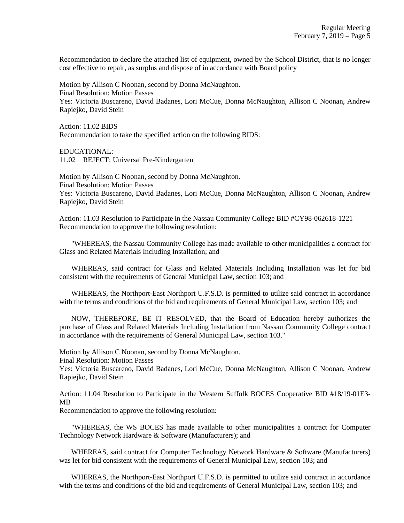Recommendation to declare the attached list of equipment, owned by the School District, that is no longer cost effective to repair, as surplus and dispose of in accordance with Board policy

Motion by Allison C Noonan, second by Donna McNaughton. Final Resolution: Motion Passes Yes: Victoria Buscareno, David Badanes, Lori McCue, Donna McNaughton, Allison C Noonan, Andrew Rapiejko, David Stein

Action: 11.02 BIDS Recommendation to take the specified action on the following BIDS:

EDUCATIONAL: 11.02 REJECT: Universal Pre-Kindergarten

Motion by Allison C Noonan, second by Donna McNaughton. Final Resolution: Motion Passes Yes: Victoria Buscareno, David Badanes, Lori McCue, Donna McNaughton, Allison C Noonan, Andrew Rapiejko, David Stein

Action: 11.03 Resolution to Participate in the Nassau Community College BID #CY98-062618-1221 Recommendation to approve the following resolution:

 "WHEREAS, the Nassau Community College has made available to other municipalities a contract for Glass and Related Materials Including Installation; and

 WHEREAS, said contract for Glass and Related Materials Including Installation was let for bid consistent with the requirements of General Municipal Law, section 103; and

 WHEREAS, the Northport-East Northport U.F.S.D. is permitted to utilize said contract in accordance with the terms and conditions of the bid and requirements of General Municipal Law, section 103; and

 NOW, THEREFORE, BE IT RESOLVED, that the Board of Education hereby authorizes the purchase of Glass and Related Materials Including Installation from Nassau Community College contract in accordance with the requirements of General Municipal Law, section 103."

Motion by Allison C Noonan, second by Donna McNaughton.

Final Resolution: Motion Passes

Yes: Victoria Buscareno, David Badanes, Lori McCue, Donna McNaughton, Allison C Noonan, Andrew Rapiejko, David Stein

Action: 11.04 Resolution to Participate in the Western Suffolk BOCES Cooperative BID #18/19-01E3- MB

Recommendation to approve the following resolution:

 "WHEREAS, the WS BOCES has made available to other municipalities a contract for Computer Technology Network Hardware & Software (Manufacturers); and

 WHEREAS, said contract for Computer Technology Network Hardware & Software (Manufacturers) was let for bid consistent with the requirements of General Municipal Law, section 103; and

 WHEREAS, the Northport-East Northport U.F.S.D. is permitted to utilize said contract in accordance with the terms and conditions of the bid and requirements of General Municipal Law, section 103; and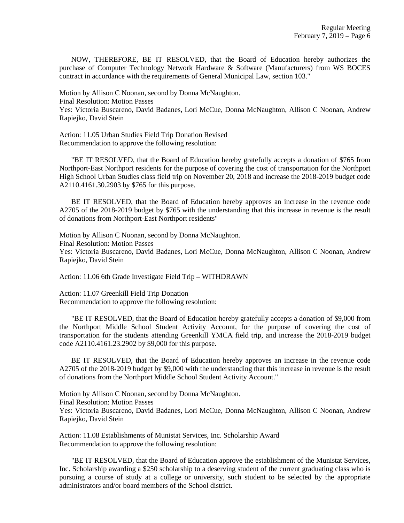NOW, THEREFORE, BE IT RESOLVED, that the Board of Education hereby authorizes the purchase of Computer Technology Network Hardware & Software (Manufacturers) from WS BOCES contract in accordance with the requirements of General Municipal Law, section 103."

Motion by Allison C Noonan, second by Donna McNaughton. Final Resolution: Motion Passes Yes: Victoria Buscareno, David Badanes, Lori McCue, Donna McNaughton, Allison C Noonan, Andrew Rapiejko, David Stein

Action: 11.05 Urban Studies Field Trip Donation Revised Recommendation to approve the following resolution:

 "BE IT RESOLVED, that the Board of Education hereby gratefully accepts a donation of \$765 from Northport-East Northport residents for the purpose of covering the cost of transportation for the Northport High School Urban Studies class field trip on November 20, 2018 and increase the 2018-2019 budget code A2110.4161.30.2903 by \$765 for this purpose.

 BE IT RESOLVED, that the Board of Education hereby approves an increase in the revenue code A2705 of the 2018-2019 budget by \$765 with the understanding that this increase in revenue is the result of donations from Northport-East Northport residents"

Motion by Allison C Noonan, second by Donna McNaughton. Final Resolution: Motion Passes Yes: Victoria Buscareno, David Badanes, Lori McCue, Donna McNaughton, Allison C Noonan, Andrew Rapiejko, David Stein

Action: 11.06 6th Grade Investigate Field Trip – WITHDRAWN

Action: 11.07 Greenkill Field Trip Donation Recommendation to approve the following resolution:

 "BE IT RESOLVED, that the Board of Education hereby gratefully accepts a donation of \$9,000 from the Northport Middle School Student Activity Account, for the purpose of covering the cost of transportation for the students attending Greenkill YMCA field trip, and increase the 2018-2019 budget code A2110.4161.23.2902 by \$9,000 for this purpose.

 BE IT RESOLVED, that the Board of Education hereby approves an increase in the revenue code A2705 of the 2018-2019 budget by \$9,000 with the understanding that this increase in revenue is the result of donations from the Northport Middle School Student Activity Account."

Motion by Allison C Noonan, second by Donna McNaughton. Final Resolution: Motion Passes Yes: Victoria Buscareno, David Badanes, Lori McCue, Donna McNaughton, Allison C Noonan, Andrew Rapiejko, David Stein

Action: 11.08 Establishments of Munistat Services, Inc. Scholarship Award Recommendation to approve the following resolution:

 "BE IT RESOLVED, that the Board of Education approve the establishment of the Munistat Services, Inc. Scholarship awarding a \$250 scholarship to a deserving student of the current graduating class who is pursuing a course of study at a college or university, such student to be selected by the appropriate administrators and/or board members of the School district.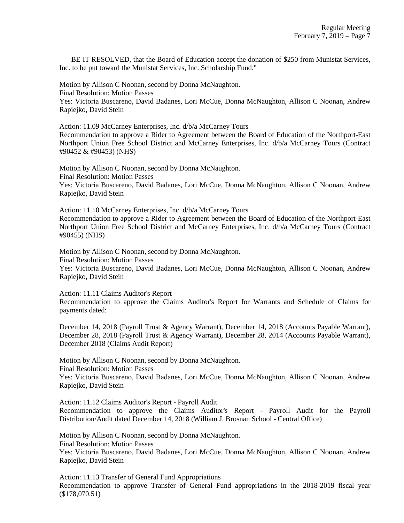BE IT RESOLVED, that the Board of Education accept the donation of \$250 from Munistat Services, Inc. to be put toward the Munistat Services, Inc. Scholarship Fund."

Motion by Allison C Noonan, second by Donna McNaughton. Final Resolution: Motion Passes Yes: Victoria Buscareno, David Badanes, Lori McCue, Donna McNaughton, Allison C Noonan, Andrew Rapiejko, David Stein

Action: 11.09 McCarney Enterprises, Inc. d/b/a McCarney Tours Recommendation to approve a Rider to Agreement between the Board of Education of the Northport-East Northport Union Free School District and McCarney Enterprises, Inc. d/b/a McCarney Tours (Contract #90452 & #90453) (NHS)

Motion by Allison C Noonan, second by Donna McNaughton. Final Resolution: Motion Passes Yes: Victoria Buscareno, David Badanes, Lori McCue, Donna McNaughton, Allison C Noonan, Andrew Rapiejko, David Stein

Action: 11.10 McCarney Enterprises, Inc. d/b/a McCarney Tours Recommendation to approve a Rider to Agreement between the Board of Education of the Northport-East Northport Union Free School District and McCarney Enterprises, Inc. d/b/a McCarney Tours (Contract #90455) (NHS)

Motion by Allison C Noonan, second by Donna McNaughton. Final Resolution: Motion Passes Yes: Victoria Buscareno, David Badanes, Lori McCue, Donna McNaughton, Allison C Noonan, Andrew Rapiejko, David Stein

Action: 11.11 Claims Auditor's Report

Recommendation to approve the Claims Auditor's Report for Warrants and Schedule of Claims for payments dated:

December 14, 2018 (Payroll Trust & Agency Warrant), December 14, 2018 (Accounts Payable Warrant), December 28, 2018 (Payroll Trust & Agency Warrant), December 28, 2014 (Accounts Payable Warrant), December 2018 (Claims Audit Report)

Motion by Allison C Noonan, second by Donna McNaughton. Final Resolution: Motion Passes

Yes: Victoria Buscareno, David Badanes, Lori McCue, Donna McNaughton, Allison C Noonan, Andrew Rapiejko, David Stein

Action: 11.12 Claims Auditor's Report - Payroll Audit Recommendation to approve the Claims Auditor's Report - Payroll Audit for the Payroll Distribution/Audit dated December 14, 2018 (William J. Brosnan School - Central Office)

Motion by Allison C Noonan, second by Donna McNaughton.

Final Resolution: Motion Passes

Yes: Victoria Buscareno, David Badanes, Lori McCue, Donna McNaughton, Allison C Noonan, Andrew Rapiejko, David Stein

Action: 11.13 Transfer of General Fund Appropriations Recommendation to approve Transfer of General Fund appropriations in the 2018-2019 fiscal year (\$178,070.51)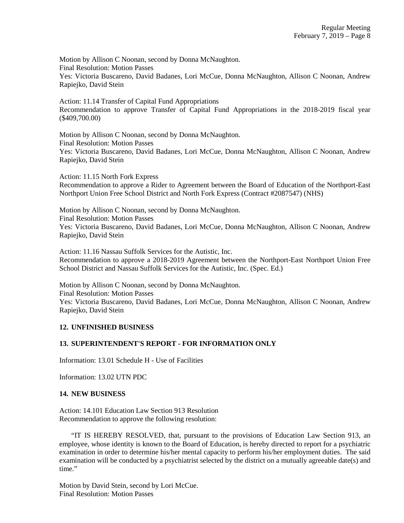Motion by Allison C Noonan, second by Donna McNaughton. Final Resolution: Motion Passes Yes: Victoria Buscareno, David Badanes, Lori McCue, Donna McNaughton, Allison C Noonan, Andrew Rapiejko, David Stein

Action: 11.14 Transfer of Capital Fund Appropriations Recommendation to approve Transfer of Capital Fund Appropriations in the 2018-2019 fiscal year (\$409,700.00)

Motion by Allison C Noonan, second by Donna McNaughton. Final Resolution: Motion Passes Yes: Victoria Buscareno, David Badanes, Lori McCue, Donna McNaughton, Allison C Noonan, Andrew Rapiejko, David Stein

Action: 11.15 North Fork Express Recommendation to approve a Rider to Agreement between the Board of Education of the Northport-East Northport Union Free School District and North Fork Express (Contract #2087547) (NHS)

Motion by Allison C Noonan, second by Donna McNaughton. Final Resolution: Motion Passes Yes: Victoria Buscareno, David Badanes, Lori McCue, Donna McNaughton, Allison C Noonan, Andrew Rapiejko, David Stein

Action: 11.16 Nassau Suffolk Services for the Autistic, Inc.

Recommendation to approve a 2018-2019 Agreement between the Northport-East Northport Union Free School District and Nassau Suffolk Services for the Autistic, Inc. (Spec. Ed.)

Motion by Allison C Noonan, second by Donna McNaughton. Final Resolution: Motion Passes Yes: Victoria Buscareno, David Badanes, Lori McCue, Donna McNaughton, Allison C Noonan, Andrew Rapiejko, David Stein

# **12. UNFINISHED BUSINESS**

### **13. SUPERINTENDENT'S REPORT - FOR INFORMATION ONLY**

Information: 13.01 Schedule H - Use of Facilities

Information: 13.02 UTN PDC

### **14. NEW BUSINESS**

Action: 14.101 Education Law Section 913 Resolution Recommendation to approve the following resolution:

 "IT IS HEREBY RESOLVED, that, pursuant to the provisions of Education Law Section 913, an employee, whose identity is known to the Board of Education, is hereby directed to report for a psychiatric examination in order to determine his/her mental capacity to perform his/her employment duties. The said examination will be conducted by a psychiatrist selected by the district on a mutually agreeable date(s) and time."

Motion by David Stein, second by Lori McCue. Final Resolution: Motion Passes